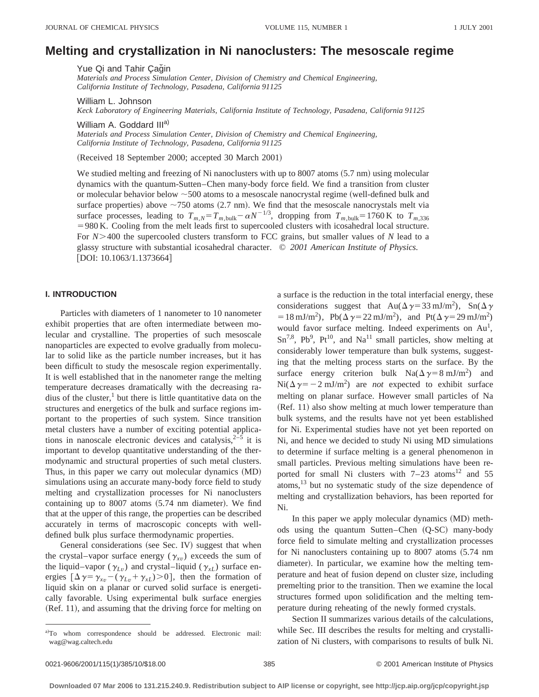# **Melting and crystallization in Ni nanoclusters: The mesoscale regime**

Yue Qi and Tahir Çağin

*Materials and Process Simulation Center, Division of Chemistry and Chemical Engineering, California Institute of Technology, Pasadena, California 91125*

William L. Johnson

*Keck Laboratory of Engineering Materials, California Institute of Technology, Pasadena, California 91125*

William A. Goddard III<sup>a)</sup>

*Materials and Process Simulation Center, Division of Chemistry and Chemical Engineering, California Institute of Technology, Pasadena, California 91125*

(Received 18 September 2000; accepted 30 March 2001)

We studied melting and freezing of Ni nanoclusters with up to  $8007$  atoms  $(5.7 \text{ nm})$  using molecular dynamics with the quantum-Sutten–Chen many-body force field. We find a transition from cluster or molecular behavior below  $\sim$  500 atoms to a mesoscale nanocrystal regime (well-defined bulk and surface properties) above  $\sim$ 750 atoms (2.7 nm). We find that the mesoscale nanocrystals melt via surface processes, leading to  $T_{m,N} = T_{m,\text{bulk}} - \alpha N^{-1/3}$ , dropping from  $T_{m,\text{bulk}} = 1760 \text{ K}$  to  $T_{m,336}$  $=980$  K. Cooling from the melt leads first to supercooled clusters with icosahedral local structure. For  $N$  > 400 the supercooled clusters transform to FCC grains, but smaller values of *N* lead to a glassy structure with substantial icosahedral character. © *2001 American Institute of Physics.* [DOI: 10.1063/1.1373664]

# **I. INTRODUCTION**

Particles with diameters of 1 nanometer to 10 nanometer exhibit properties that are often intermediate between molecular and crystalline. The properties of such mesoscale nanoparticles are expected to evolve gradually from molecular to solid like as the particle number increases, but it has been difficult to study the mesoscale region experimentally. It is well established that in the nanometer range the melting temperature decreases dramatically with the decreasing radius of the cluster, $<sup>1</sup>$  but there is little quantitative data on the</sup> structures and energetics of the bulk and surface regions important to the properties of such system. Since transition metal clusters have a number of exciting potential applications in nanoscale electronic devices and catalysis,  $2^{-5}$  it is important to develop quantitative understanding of the thermodynamic and structural properties of such metal clusters. Thus, in this paper we carry out molecular dynamics (MD) simulations using an accurate many-body force field to study melting and crystallization processes for Ni nanoclusters containing up to  $8007$  atoms  $(5.74 \text{ nm diameter})$ . We find that at the upper of this range, the properties can be described accurately in terms of macroscopic concepts with welldefined bulk plus surface thermodynamic properties.

General considerations (see Sec. IV) suggest that when the crystal–vapor surface energy ( $\gamma_{xv}$ ) exceeds the sum of the liquid–vapor ( $\gamma_{Lv}$ ) and crystal–liquid ( $\gamma_{xL}$ ) surface energies  $[\Delta \gamma = \gamma_{xv} - (\gamma_{Lv} + \gamma_{xL}) > 0]$ , then the formation of liquid skin on a planar or curved solid surface is energetically favorable. Using experimental bulk surface energies  $(Ref. 11)$ , and assuming that the driving force for melting on a surface is the reduction in the total interfacial energy, these considerations suggest that  $Au(\Delta \gamma = 33 \text{ mJ/m}^2)$ ,  $Sn(\Delta \gamma)$  $= 18 \text{ mJ/m}^2$ , Pb( $\Delta \gamma = 22 \text{ mJ/m}^2$ ), and Pt( $\Delta \gamma = 29 \text{ mJ/m}^2$ ) would favor surface melting. Indeed experiments on  $Au<sup>1</sup>$ ,  $Sn^{7,8}, Pb^{9}, Pt^{10}, and Na^{11}$  small particles, show melting at considerably lower temperature than bulk systems, suggesting that the melting process starts on the surface. By the surface energy criterion bulk  $\text{Na}(\Delta \gamma = 8 \text{ mJ/m}^2)$  and  $\text{Ni}(\Delta \gamma = -2 \text{ mJ/m}^2)$  are *not* expected to exhibit surface melting on planar surface. However small particles of Na  $(Ref. 11)$  also show melting at much lower temperature than bulk systems, and the results have not yet been established for Ni. Experimental studies have not yet been reported on Ni, and hence we decided to study Ni using MD simulations to determine if surface melting is a general phenomenon in small particles. Previous melting simulations have been reported for small Ni clusters with  $7-23$  atoms<sup>12</sup> and 55 atoms, $13$  but no systematic study of the size dependence of melting and crystallization behaviors, has been reported for Ni.

In this paper we apply molecular dynamics (MD) methods using the quantum Sutten–Chen (Q-SC) many-body force field to simulate melting and crystallization processes for Ni nanoclusters containing up to  $8007$  atoms  $(5.74 \text{ nm})$ diameter). In particular, we examine how the melting temperature and heat of fusion depend on cluster size, including premelting prior to the transition. Then we examine the local structures formed upon solidification and the melting temperature during reheating of the newly formed crystals.

Section II summarizes various details of the calculations, while Sec. III describes the results for melting and crystallization of Ni clusters, with comparisons to results of bulk Ni.

a)To whom correspondence should be addressed. Electronic mail: wag@wag.caltech.edu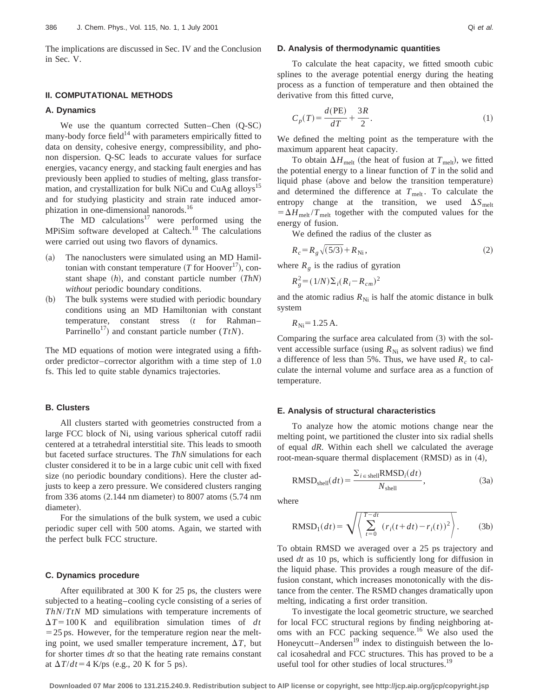The implications are discussed in Sec. IV and the Conclusion in Sec. V.

# **II. COMPUTATIONAL METHODS**

### **A. Dynamics**

We use the quantum corrected Sutten–Chen  $(Q-SC)$ many-body force field<sup>14</sup> with parameters empirically fitted to data on density, cohesive energy, compressibility, and phonon dispersion. Q-SC leads to accurate values for surface energies, vacancy energy, and stacking fault energies and has previously been applied to studies of melting, glass transformation, and crystallization for bulk NiCu and CuAg alloys<sup>15</sup> and for studying plasticity and strain rate induced amorphization in one-dimensional nanorods.<sup>16</sup>

The  $MD$  calculations<sup>17</sup> were performed using the MPiSim software developed at Caltech.<sup>18</sup> The calculations were carried out using two flavors of dynamics.

- (a) The nanoclusters were simulated using an MD Hamiltonian with constant temperature  $(T$  for Hoover<sup>17</sup>), constant shape  $(h)$ , and constant particle number  $(ThN)$ *without* periodic boundary conditions.
- (b) The bulk systems were studied with periodic boundary conditions using an MD Hamiltonian with constant temperature, constant stress  $(t$  for Rahman– Parrinello<sup>17</sup>) and constant particle number ( $TtN$ ).

The MD equations of motion were integrated using a fifthorder predictor–corrector algorithm with a time step of 1.0 fs. This led to quite stable dynamics trajectories.

### **B. Clusters**

All clusters started with geometries constructed from a large FCC block of Ni, using various spherical cutoff radii centered at a tetrahedral interstitial site. This leads to smooth but faceted surface structures. The *ThN* simulations for each cluster considered it to be in a large cubic unit cell with fixed size (no periodic boundary conditions). Here the cluster adjusts to keep a zero pressure. We considered clusters ranging from 336 atoms  $(2.144 \text{ nm diameter})$  to 8007 atoms  $(5.74 \text{ nm}$ diameter).

For the simulations of the bulk system, we used a cubic periodic super cell with 500 atoms. Again, we started with the perfect bulk FCC structure.

#### **C. Dynamics procedure**

After equilibrated at 300 K for 25 ps, the clusters were subjected to a heating–cooling cycle consisting of a series of *ThN*/*TtN* MD simulations with temperature increments of  $\Delta T$ =100 K and equilibration simulation times of *dt*  $=$  25 ps. However, for the temperature region near the melting point, we used smaller temperature increment,  $\Delta T$ , but for shorter times *dt* so that the heating rate remains constant at  $\Delta T/dt = 4$  K/ps (e.g., 20 K for 5 ps).

# **D. Analysis of thermodynamic quantities**

To calculate the heat capacity, we fitted smooth cubic splines to the average potential energy during the heating process as a function of temperature and then obtained the derivative from this fitted curve,

$$
C_p(T) = \frac{d(PE)}{dT} + \frac{3R}{2}.
$$
\n<sup>(1)</sup>

We defined the melting point as the temperature with the maximum apparent heat capacity.

To obtain  $\Delta H_{\text{melt}}$  (the heat of fusion at  $T_{\text{melt}}$ ), we fitted the potential energy to a linear function of *T* in the solid and liquid phase (above and below the transition temperature) and determined the difference at  $T_{\text{melt}}$ . To calculate the entropy change at the transition, we used  $\Delta S_{\text{melt}}$  $= \Delta H_{\text{melt}} / T_{\text{melt}}$  together with the computed values for the energy of fusion.

We defined the radius of the cluster as

$$
R_c = R_g \sqrt{(5/3)} + R_{\rm Ni} \,, \tag{2}
$$

where  $R_g$  is the radius of gyration

$$
R_g^2 = (1/N)\Sigma_i (R_i - R_{cm})^2
$$

and the atomic radius  $R_{\text{Ni}}$  is half the atomic distance in bulk system

$$
R_{\rm Ni} = 1.25 \,\mathrm{A}.
$$

Comparing the surface area calculated from  $(3)$  with the solvent accessible surface (using  $R_{\text{Ni}}$  as solvent radius) we find a difference of less than 5%. Thus, we have used  $R_c$  to calculate the internal volume and surface area as a function of temperature.

### **E. Analysis of structural characteristics**

To analyze how the atomic motions change near the melting point, we partitioned the cluster into six radial shells of equal *dR*. Within each shell we calculated the average root-mean-square thermal displacement  $(RMSD)$  as in  $(4)$ ,

$$
RMSDshell(dt) = \frac{\Sigma_{i \in shell} RMSD_i(dt)}{N_{shell}},
$$
\n(3a)

where

RMSD<sub>1</sub>(dt) = 
$$
\sqrt{\sum_{t=0}^{T-dt} (r_i(t+dt) - r_i(t))^2}
$$
. (3b)

To obtain RMSD we averaged over a 25 ps trajectory and used *dt* as 10 ps, which is sufficiently long for diffusion in the liquid phase. This provides a rough measure of the diffusion constant, which increases monotonically with the distance from the center. The RSMD changes dramatically upon melting, indicating a first order transition.

To investigate the local geometric structure, we searched for local FCC structural regions by finding neighboring atoms with an FCC packing sequence.<sup>16</sup> We also used the Honeycutt–Andersen<sup>19</sup> index to distinguish between the local icosahedral and FCC structures. This has proved to be a useful tool for other studies of local structures.<sup>19</sup>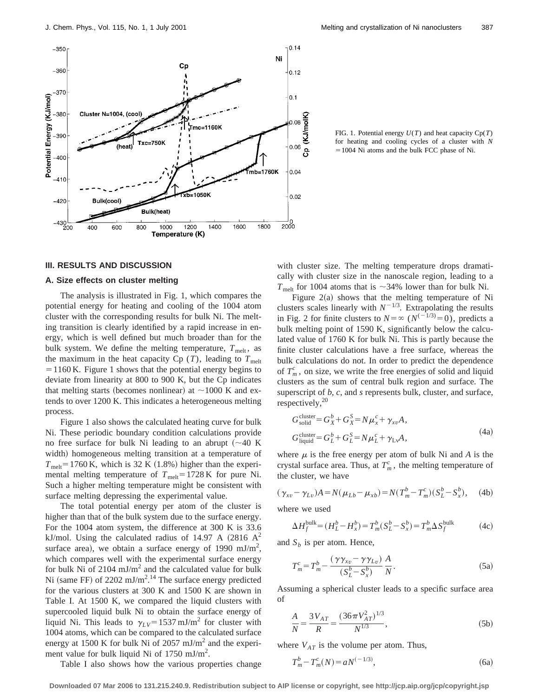

FIG. 1. Potential energy *U*(*T*) and heat capacity Cp(*T*) for heating and cooling cycles of a cluster with *N*  $=1004$  Ni atoms and the bulk FCC phase of Ni.

### **III. RESULTS AND DISCUSSION**

### **A. Size effects on cluster melting**

The analysis is illustrated in Fig. 1, which compares the potential energy for heating and cooling of the 1004 atom cluster with the corresponding results for bulk Ni. The melting transition is clearly identified by a rapid increase in energy, which is well defined but much broader than for the bulk system. We define the melting temperature,  $T_{\text{melt}}$ , as the maximum in the heat capacity  $C_p(T)$ , leading to  $T_{melt}$  $=1160$  K. Figure 1 shows that the potential energy begins to deviate from linearity at 800 to 900 K, but the Cp indicates that melting starts (becomes nonlinear) at  $\sim$ 1000 K and extends to over 1200 K. This indicates a heterogeneous melting process.

Figure 1 also shows the calculated heating curve for bulk Ni. These periodic boundary condition calculations provide no free surface for bulk Ni leading to an abrupt  $({\sim}40 \text{ K})$ width) homogeneous melting transition at a temperature of  $T_{\text{melt}}$ =1760 K, which is 32 K (1.8%) higher than the experimental melting temperature of  $T_{\text{melt}}=1728 \text{ K}$  for pure Ni. Such a higher melting temperature might be consistent with surface melting depressing the experimental value.

The total potential energy per atom of the cluster is higher than that of the bulk system due to the surface energy. For the 1004 atom system, the difference at 300 K is 33.6 kJ/mol. Using the calculated radius of 14.97 A  $(2816 \text{ A}^2)$ surface area), we obtain a surface energy of 1990 mJ/m<sup>2</sup>, which compares well with the experimental surface energy for bulk Ni of  $2104 \text{ mJ/m}^2$  and the calculated value for bulk Ni (same FF) of  $2202 \text{ mJ/m}^2$ .<sup>14</sup> The surface energy predicted for the various clusters at 300 K and 1500 K are shown in Table I. At 1500 K, we compared the liquid clusters with supercooled liquid bulk Ni to obtain the surface energy of liquid Ni. This leads to  $\gamma_{LV}$ =1537 mJ/m<sup>2</sup> for cluster with 1004 atoms, which can be compared to the calculated surface energy at 1500 K for bulk Ni of 2057 mJ/ $m<sup>2</sup>$  and the experiment value for bulk liquid Ni of  $1750 \text{ mJ/m}^2$ .

Table I also shows how the various properties change

with cluster size. The melting temperature drops dramatically with cluster size in the nanoscale region, leading to a  $T_{\text{melt}}$  for 1004 atoms that is  $\sim$ 34% lower than for bulk Ni.

Figure  $2(a)$  shows that the melting temperature of Ni clusters scales linearly with  $N^{-1/3}$ . Extrapolating the results in Fig. 2 for finite clusters to  $N = \infty$  ( $N^{(-1/3)} = 0$ ), predicts a bulk melting point of 1590 K, significantly below the calculated value of 1760 K for bulk Ni. This is partly because the finite cluster calculations have a free surface, whereas the bulk calculations do not. In order to predict the dependence of  $T_m^c$ , on size, we write the free energies of solid and liquid clusters as the sum of central bulk region and surface. The superscript of *b, c*, and *s* represents bulk, cluster, and surface, respectively, $20$ 

$$
G_{\text{solid}}^{\text{cluster}} = G_X^b + G_X^S = N\mu_x^c + \gamma_{xv}A,
$$
  
\n
$$
G_{\text{liquid}}^{\text{cluster}} = G_L^b + G_L^S = N\mu_L^c + \gamma_{\text{Lv}}A,
$$
\n(4a)

where  $\mu$  is the free energy per atom of bulk Ni and A is the crystal surface area. Thus, at  $T_m^c$ , the melting temperature of the cluster, we have

$$
(\gamma_{xv} - \gamma_{Lv})A = N(\mu_{Lb} - \mu_{xb}) = N(T_m^b - T_m^c)(S_L^b - S_x^b), \quad (4b)
$$

where we used

$$
\Delta H_f^{\text{bulk}} = (H_L^b - H_x^b) = T_m^b (S_L^b - S_x^b) = T_m^b \Delta S_f^{\text{bulk}} \tag{4c}
$$

and  $S_h$  is per atom. Hence,

$$
T_m^c = T_m^b - \frac{(\gamma \gamma_{xv} - \gamma \gamma_{Lv})}{(S_L^b - S_x^b)} \frac{A}{N}.
$$
 (5a)

Assuming a spherical cluster leads to a specific surface area of

$$
\frac{A}{N} = \frac{3V_{AT}}{R} = \frac{(36\pi V_{AT}^2)^{1/3}}{N^{1/3}},
$$
\n(5b)

where  $V_{AT}$  is the volume per atom. Thus,

$$
T_m^b - T_m^c(N) = aN^{(-1/3)},\tag{6a}
$$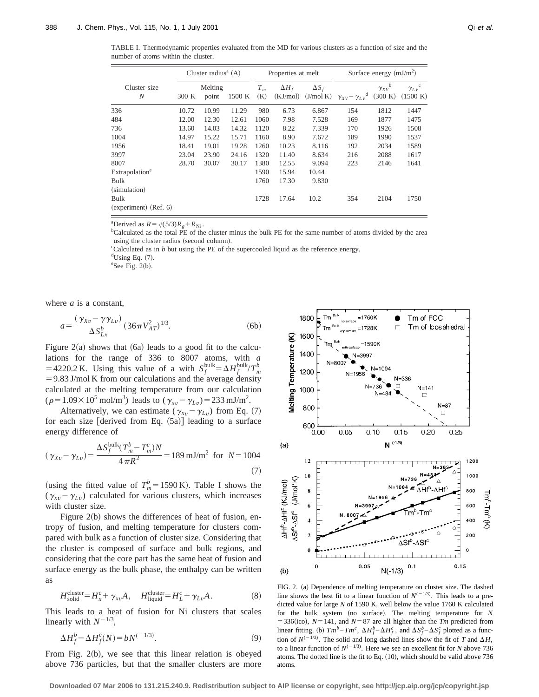| TABLE I. Thermodynamic properties evaluated from the MD for various clusters as a function of size and the |  |  |  |  |  |  |
|------------------------------------------------------------------------------------------------------------|--|--|--|--|--|--|
| number of atoms within the cluster.                                                                        |  |  |  |  |  |  |

|                            | Cluster radius <sup>a</sup> $(A)$ |                  |        |                | Properties at melt       |                           | Surface energy $(mJ/m2)$               |                                     |                                     |  |  |
|----------------------------|-----------------------------------|------------------|--------|----------------|--------------------------|---------------------------|----------------------------------------|-------------------------------------|-------------------------------------|--|--|
| Cluster size<br>N          | 300 K                             | Melting<br>point | 1500 K | $T_{m}$<br>(K) | $\Delta H_f$<br>(KJ/mol) | $\Delta S_f$<br>(J/mol K) | $\gamma_{XV} - \gamma_{LV}^{\text{d}}$ | $\gamma_{XV}^{\qquad b}$<br>(300 K) | $\gamma_{LV}^{\quad c}$<br>(1500 K) |  |  |
| 336                        | 10.72                             | 10.99            | 11.29  | 980            | 6.73                     | 6.867                     | 154                                    | 1812                                | 1447                                |  |  |
| 484                        | 12.00                             | 12.30            | 12.61  | 1060           | 7.98                     | 7.528                     | 169                                    | 1877                                | 1475                                |  |  |
| 736                        | 13.60                             | 14.03            | 14.32  | 1120           | 8.22                     | 7.339                     | 170                                    | 1926                                | 1508                                |  |  |
| 1004                       | 14.97                             | 15.22            | 15.71  | 1160           | 8.90                     | 7.672                     | 189                                    | 1990                                | 1537                                |  |  |
| 1956                       | 18.41                             | 19.01            | 19.28  | 1260           | 10.23                    | 8.116                     | 192                                    | 2034                                | 1589                                |  |  |
| 3997                       | 23.04                             | 23.90            | 24.16  | 1320           | 11.40                    | 8.634                     | 216                                    | 2088                                | 1617                                |  |  |
| 8007                       | 28.70                             | 30.07            | 30.17  | 1380           | 12.55                    | 9.094                     | 223                                    | 2146                                | 1641                                |  |  |
| Extrapolation <sup>e</sup> |                                   |                  |        | 1590           | 15.94                    | 10.44                     |                                        |                                     |                                     |  |  |
| Bulk                       |                                   |                  |        | 1760           | 17.30                    | 9.830                     |                                        |                                     |                                     |  |  |
| (simulation)               |                                   |                  |        |                |                          |                           |                                        |                                     |                                     |  |  |
| Bulk                       |                                   |                  |        | 1728           | 17.64                    | 10.2                      | 354                                    | 2104                                | 1750                                |  |  |
| $(experiment)$ (Ref. 6)    |                                   |                  |        |                |                          |                           |                                        |                                     |                                     |  |  |

<sup>a</sup>Derived as  $R = \sqrt{(5/3)}R_g + R_{\text{Ni}}$ .

<sup>b</sup>Calculated as the total PE of the cluster minus the bulk PE for the same number of atoms divided by the area using the cluster radius (second column).

<sup>c</sup>Calculated as in *b* but using the PE of the supercooled liquid as the reference energy.  $d$ Using Eq.  $(7)$ .

 $e$ See Fig. 2(b).

where *a* is a constant,

$$
a = \frac{(\gamma_{Xv} - \gamma \gamma_{Lv})}{\Delta S_{Lx}^b} (36\pi V_{AT}^2)^{1/3}.
$$
 (6b)

Figure  $2(a)$  shows that  $(6a)$  leads to a good fit to the calculations for the range of 336 to 8007 atoms, with *a* = 4220.2 K. Using this value of a with  $S_f^{\text{bulk}} = \Delta H_f^{\text{bulk}}/T_m^b$  $=$  9.83 J/mol K from our calculations and the average density calculated at the melting temperature from our calculation  $(\rho = 1.09 \times 10^5 \text{ mol/m}^3)$  leads to  $(\gamma_{xv} - \gamma_{Lv}) = 233 \text{ mJ/m}^2$ .

Alternatively, we can estimate ( $\gamma_{xv} - \gamma_{Lv}$ ) from Eq. (7) for each size [derived from Eq.  $(5a)$ ] leading to a surface energy difference of

$$
(\gamma_{Xv} - \gamma_{Lv}) = \frac{\Delta S_f^{\text{bulk}}(T_m^b - T_m^c)N}{4\pi R^2} = 189 \text{ mJ/m}^2 \text{ for } N = 1004
$$
\n(7)

(using the fitted value of  $T_m^b = 1590 \text{ K}$ ). Table I shows the  $(\gamma_{xv} - \gamma_{Lv})$  calculated for various clusters, which increases with cluster size.

Figure  $2(b)$  shows the differences of heat of fusion, entropy of fusion, and melting temperature for clusters compared with bulk as a function of cluster size. Considering that the cluster is composed of surface and bulk regions, and considering that the core part has the same heat of fusion and surface energy as the bulk phase, the enthalpy can be written as

$$
H_{\text{solid}}^{\text{cluster}} = H_x^c + \gamma_{xv} A, \quad H_{\text{liquid}}^{\text{cluster}} = H_L^c + \gamma_{Lv} A. \tag{8}
$$

This leads to a heat of fusion for Ni clusters that scales linearly with  $N^{-1/3}$ ,

$$
\Delta H_f^b - \Delta H_f^c(N) = bN^{(-1/3)}.
$$
\n(9)

From Fig.  $2(b)$ , we see that this linear relation is obeyed above 736 particles, but that the smaller clusters are more



FIG. 2. (a) Dependence of melting temperature on cluster size. The dashed line shows the best fit to a linear function of  $N^{(-1/3)}$ . This leads to a predicted value for large *N* of 1590 K, well below the value 1760 K calculated for the bulk system (no surface). The melting temperature for *N*  $=$  336(ico),  $N=141$ , and  $N=87$  are all higher than the *Tm* predicted from linear fitting. (b)  $Tm^b - Tm^c$ ,  $\Delta H_f^b - \Delta H_f^c$ , and  $\Delta S_f^b - \Delta S_f^c$  plotted as a function of  $N^{(-1/3)}$ . The solid and long dashed lines show the fit of *T* and  $\Delta H$ , to a linear function of  $N^{(-1/3)}$ . Here we see an excellent fit for *N* above 736 atoms. The dotted line is the fit to Eq.  $(10)$ , which should be valid above 736 atoms.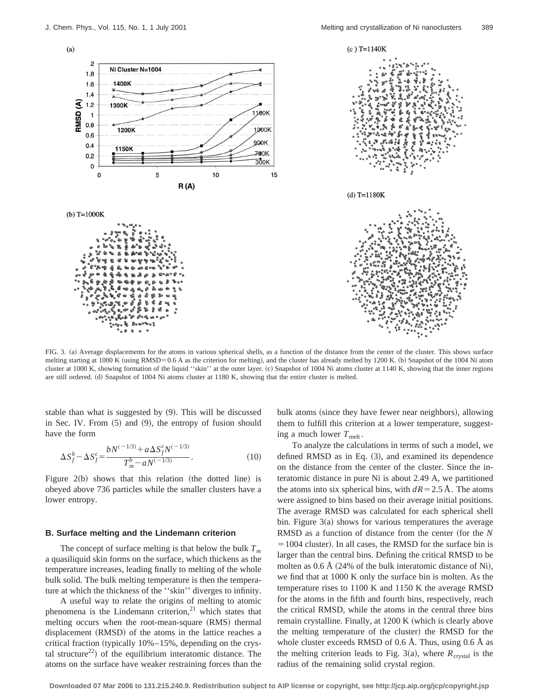



(b)  $T=1000K$ 



FIG. 3. (a) Average displacements for the atoms in various spherical shells, as a function of the distance from the center of the cluster. This shows surface melting starting at 1000 K (using RMSD=0.6 A as the criterion for melting), and the cluster has already melted by 1200 K. (b) Snapshot of the 1004 Ni atom cluster at 1000 K, showing formation of the liquid "skin" at the outer layer. (c) Snapshot of 1004 Ni atoms cluster at 1140 K, showing that the inner regions are still ordered. (d) Snapshot of 1004 Ni atoms cluster at 1180 K, showing that the entire cluster is melted.

stable than what is suggested by  $(9)$ . This will be discussed in Sec. IV. From  $(5)$  and  $(9)$ , the entropy of fusion should have the form

$$
\Delta S_f^b - \Delta S_f^c = \frac{bN^{(-1/3)} + a\,\Delta S_f^c N^{(-1/3)}}{T_m^b - aN^{(-1/3)}}.\tag{10}
$$

Figure  $2(b)$  shows that this relation (the dotted line) is obeyed above 736 particles while the smaller clusters have a lower entropy.

### **B. Surface melting and the Lindemann criterion**

The concept of surface melting is that below the bulk  $T_m$ a quasiliquid skin forms on the surface, which thickens as the temperature increases, leading finally to melting of the whole bulk solid. The bulk melting temperature is then the temperature at which the thickness of the ''skin'' diverges to infinity.

A useful way to relate the origins of melting to atomic phenomena is the Lindemann criterion, $21$  which states that melting occurs when the root-mean-square (RMS) thermal displacement (RMSD) of the atoms in the lattice reaches a critical fraction (typically  $10\% - 15\%$ , depending on the crystal structure<sup>22</sup>) of the equilibrium interatomic distance. The atoms on the surface have weaker restraining forces than the bulk atoms (since they have fewer near neighbors), allowing them to fulfill this criterion at a lower temperature, suggesting a much lower  $T_{\text{melt}}$ .

To analyze the calculations in terms of such a model, we defined RMSD as in Eq.  $(3)$ , and examined its dependence on the distance from the center of the cluster. Since the interatomic distance in pure Ni is about 2.49 A, we partitioned the atoms into six spherical bins, with  $dR = 2.5 \text{ Å}$ . The atoms were assigned to bins based on their average initial positions. The average RMSD was calculated for each spherical shell bin. Figure  $3(a)$  shows for various temperatures the average RMSD as a function of distance from the center (for the *N*  $=1004$  cluster). In all cases, the RMSD for the surface bin is larger than the central bins. Defining the critical RMSD to be molten as  $0.6 \text{ Å}$  (24% of the bulk interatomic distance of Ni), we find that at 1000 K only the surface bin is molten. As the temperature rises to 1100 K and 1150 K the average RMSD for the atoms in the fifth and fourth bins, respectively, reach the critical RMSD, while the atoms in the central three bins remain crystalline. Finally, at 1200 K (which is clearly above the melting temperature of the cluster) the RMSD for the whole cluster exceeds RMSD of 0.6 Å. Thus, using 0.6 Å as the melting criterion leads to Fig. 3(a), where  $R_{crystal}$  is the radius of the remaining solid crystal region.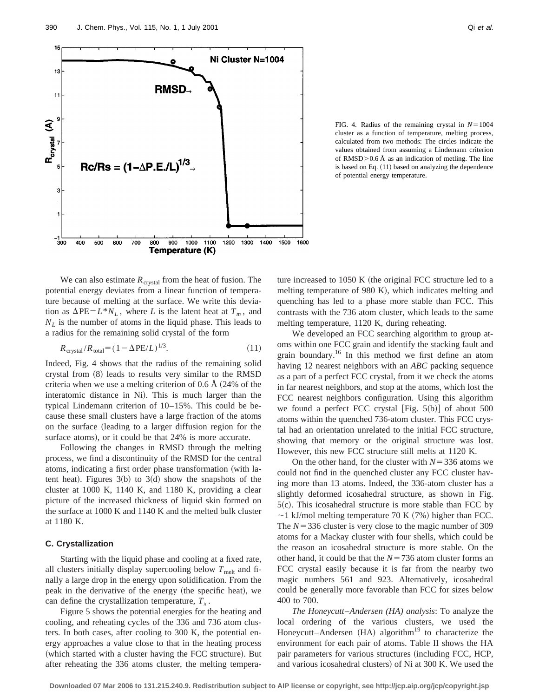

FIG. 4. Radius of the remaining crystal in  $N=1004$ cluster as a function of temperature, melting process, calculated from two methods: The circles indicate the values obtained from assuming a Lindemann criterion of RMSD $> 0.6$  Å as an indication of metling. The line is based on Eq.  $(11)$  based on analyzing the dependence of potential energy temperature.

We can also estimate  $R_{crystal}$  from the heat of fusion. The potential energy deviates from a linear function of temperature because of melting at the surface. We write this deviation as  $\Delta PE = L^*N_L$ , where *L* is the latent heat at  $T_m$ , and  $N_L$  is the number of atoms in the liquid phase. This leads to a radius for the remaining solid crystal of the form

$$
R_{\text{crystal}}/R_{\text{total}} = (1 - \Delta PE/L)^{1/3}.
$$
 (11)

Indeed, Fig. 4 shows that the radius of the remaining solid crystal from  $(8)$  leads to results very similar to the RMSD criteria when we use a melting criterion of  $0.6 \text{ Å}$  (24% of the interatomic distance in Ni). This is much larger than the typical Lindemann criterion of 10–15%. This could be because these small clusters have a large fraction of the atoms on the surface (leading to a larger diffusion region for the surface atoms), or it could be that 24% is more accurate.

Following the changes in RMSD through the melting process, we find a discontinuity of the RMSD for the central atoms, indicating a first order phase transformation (with latent heat). Figures  $3(b)$  to  $3(d)$  show the snapshots of the cluster at 1000 K, 1140 K, and 1180 K, providing a clear picture of the increased thickness of liquid skin formed on the surface at 1000 K and 1140 K and the melted bulk cluster at 1180 K.

# **C. Crystallization**

Starting with the liquid phase and cooling at a fixed rate, all clusters initially display supercooling below  $T_{\text{melt}}$  and finally a large drop in the energy upon solidification. From the peak in the derivative of the energy (the specific heat), we can define the crystallization temperature,  $T<sub>x</sub>$ .

Figure 5 shows the potential energies for the heating and cooling, and reheating cycles of the 336 and 736 atom clusters. In both cases, after cooling to 300 K, the potential energy approaches a value close to that in the heating process (which started with a cluster having the FCC structure). But after reheating the 336 atoms cluster, the melting temperature increased to  $1050 K$  (the original FCC structure led to a melting temperature of 980 K), which indicates melting and quenching has led to a phase more stable than FCC. This contrasts with the 736 atom cluster, which leads to the same melting temperature, 1120 K, during reheating.

We developed an FCC searching algorithm to group atoms within one FCC grain and identify the stacking fault and grain boundary.16 In this method we first define an atom having 12 nearest neighbors with an *ABC* packing sequence as a part of a perfect FCC crystal, from it we check the atoms in far nearest neighbors, and stop at the atoms, which lost the FCC nearest neighbors configuration. Using this algorithm we found a perfect FCC crystal  $[Fig. 5(b)]$  of about 500 atoms within the quenched 736-atom cluster. This FCC crystal had an orientation unrelated to the initial FCC structure, showing that memory or the original structure was lost. However, this new FCC structure still melts at 1120 K.

On the other hand, for the cluster with  $N=336$  atoms we could not find in the quenched cluster any FCC cluster having more than 13 atoms. Indeed, the 336-atom cluster has a slightly deformed icosahedral structure, as shown in Fig.  $5(c)$ . This icosahedral structure is more stable than FCC by  $\sim$ 1 kJ/mol melting temperature 70 K (7%) higher than FCC. The  $N = 336$  cluster is very close to the magic number of 309 atoms for a Mackay cluster with four shells, which could be the reason an icosahedral structure is more stable. On the other hand, it could be that the  $N=736$  atom cluster forms an FCC crystal easily because it is far from the nearby two magic numbers 561 and 923. Alternatively, icosahedral could be generally more favorable than FCC for sizes below 400 to 700.

*The Honeycutt*–*Andersen (HA) analysis*: To analyze the local ordering of the various clusters, we used the Honeycutt–Andersen  $(HA)$  algorithm<sup>19</sup> to characterize the environment for each pair of atoms. Table II shows the HA pair parameters for various structures (including FCC, HCP, and various icosahedral clusters) of Ni at 300 K. We used the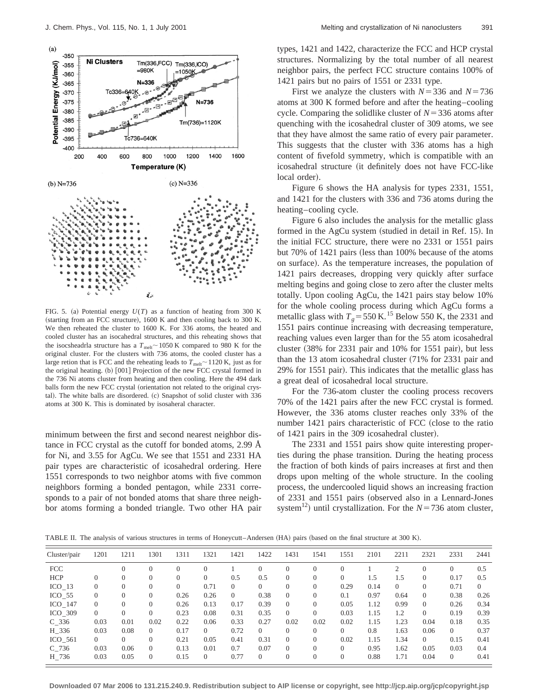

FIG. 5. (a) Potential energy  $U(T)$  as a function of heating from 300 K (starting from an FCC structure), 1600 K and then cooling back to 300 K. We then reheated the cluster to 1600 K. For 336 atoms, the heated and cooled cluster has an isocahedral structures, and this reheating shows that the isocsheadrla structure has a  $T_{\text{melt}}$  ~ 1050 K compared to 980 K for the original cluster. For the clusters with 736 atoms, the cooled cluster has a large retion that is FCC and the reheating leads to  $T_{\text{melt}}$   $\sim$  1120 K, just as for the original heating.  $(b)$   $[001]$  Projection of the new FCC crystal formed in the 736 Ni atoms cluster from heating and then cooling. Here the 494 dark balls form the new FCC crystal (orientation not related to the original crystal). The white balls are disordered. (c) Snapshot of solid cluster with 336 atoms at 300 K. This is dominated by isosaheral character.

minimum between the first and second nearest neighbor distance in FCC crystal as the cutoff for bonded atoms, 2.99 Å for Ni, and 3.55 for AgCu. We see that 1551 and 2331 HA pair types are characteristic of icosahedral ordering. Here 1551 corresponds to two neighbor atoms with five common neighbors forming a bonded pentagon, while 2331 corresponds to a pair of not bonded atoms that share three neighbor atoms forming a bonded triangle. Two other HA pair types, 1421 and 1422, characterize the FCC and HCP crystal structures. Normalizing by the total number of all nearest neighbor pairs, the perfect FCC structure contains 100% of 1421 pairs but no pairs of 1551 or 2331 type.

First we analyze the clusters with  $N=336$  and  $N=736$ atoms at 300 K formed before and after the heating–cooling cycle. Comparing the solidlike cluster of  $N=336$  atoms after quenching with the icosahedral cluster of 309 atoms, we see that they have almost the same ratio of every pair parameter. This suggests that the cluster with 336 atoms has a high content of fivefold symmetry, which is compatible with an icosahedral structure (it definitely does not have FCC-like local order).

Figure 6 shows the HA analysis for types 2331, 1551, and 1421 for the clusters with 336 and 736 atoms during the heating–cooling cycle.

Figure 6 also includes the analysis for the metallic glass formed in the AgCu system (studied in detail in Ref. 15). In the initial FCC structure, there were no 2331 or 1551 pairs but 70% of 1421 pairs (less than 100% because of the atoms on surface). As the temperature increases, the population of 1421 pairs decreases, dropping very quickly after surface melting begins and going close to zero after the cluster melts totally. Upon cooling AgCu, the 1421 pairs stay below 10% for the whole cooling process during which AgCu forms a metallic glass with  $T_g$ =550 K.<sup>15</sup> Below 550 K, the 2331 and 1551 pairs continue increasing with decreasing temperature, reaching values even larger than for the 55 atom icosahedral cluster  $(38\%$  for 2331 pair and 10% for 1551 pair), but less than the 13 atom icosahedral cluster  $(71\%$  for 2331 pair and 29% for 1551 pair). This indicates that the metallic glass has a great deal of icosahedral local structure.

For the 736-atom cluster the cooling process recovers 70% of the 1421 pairs after the new FCC crystal is formed. However, the 336 atoms cluster reaches only 33% of the number 1421 pairs characteristic of FCC (close to the ratio of 1421 pairs in the 309 icosahedral cluster).

The 2331 and 1551 pairs show quite interesting properties during the phase transition. During the heating process the fraction of both kinds of pairs increases at first and then drops upon melting of the whole structure. In the cooling process, the undercooled liquid shows an increasing fraction of 2331 and 1551 pairs (observed also in a Lennard-Jones system<sup>12</sup>) until crystallization. For the  $N=736$  atom cluster,

TABLE II. The analysis of various structures in terms of Honeycutt–Andersen (HA) pairs (based on the final structure at 300 K).

| Cluster/pair      | 1201           | 1211     | 1301     | 1311     | 1321           | 1421     | 1422     | 1431     | 1541     | 1551     | 2101 | 2211     | 2321     | 2331     | 2441     |
|-------------------|----------------|----------|----------|----------|----------------|----------|----------|----------|----------|----------|------|----------|----------|----------|----------|
| <b>FCC</b>        |                |          |          | $\Omega$ | $\Omega$       |          |          | $\Omega$ | $\Omega$ |          |      |          |          | $\Omega$ | 0.5      |
| <b>HCP</b>        | $\Omega$       | $\Omega$ |          | $\Omega$ | $\Omega$       | 0.5      | 0.5      | $\Omega$ | $\Omega$ | $\Omega$ | 1.5  | 1.5      | $\Omega$ | 0.17     | 0.5      |
| ICO <sub>13</sub> | $\Omega$       | $\left($ |          | $\Omega$ | 0.71           | $\Omega$ | $\Omega$ | $\Omega$ | $\Omega$ | 0.29     | 0.14 | $\Omega$ |          | 0.71     | $\Omega$ |
| $ICO$ 55          | $\overline{0}$ |          |          | 0.26     | 0.26           | $\Omega$ | 0.38     | $\Omega$ |          | 0.1      | 0.97 | 0.64     | $\Omega$ | 0.38     | 0.26     |
| $ICO_147$         | $\overline{0}$ |          |          | 0.26     | 0.13           | 0.17     | 0.39     | $\Omega$ |          | 0.05     | 1.12 | 0.99     | $\Omega$ | 0.26     | 0.34     |
| $ICO_309$         | $\overline{0}$ |          |          | 0.23     | 0.08           | 0.31     | 0.35     | $\Omega$ | $\Omega$ | 0.03     | 1.15 | 1.2      | $\Omega$ | 0.19     | 0.39     |
| $C$ 336           | 0.03           | 0.01     | 0.02     | 0.22     | 0.06           | 0.33     | 0.27     | 0.02     | 0.02     | 0.02     | 1.15 | 1.23     | 0.04     | 0.18     | 0.35     |
| H 336             | 0.03           | 0.08     | $\Omega$ | 0.17     | $\Omega$       | 0.72     | $\Omega$ | $\Omega$ | $\Omega$ | $\Omega$ | 0.8  | 1.63     | 0.06     | $\Omega$ | 0.37     |
| ICO 561           | $\overline{0}$ |          | $\Omega$ | 0.21     | 0.05           | 0.41     | 0.31     | $\Omega$ | $\Omega$ | 0.02     | 1.15 | 1.34     | $\Omega$ | 0.15     | 0.41     |
| C 736             | 0.03           | 0.06     | $\Omega$ | 0.13     | 0.01           | 0.7      | 0.07     | $\Omega$ | $\Omega$ | $\Omega$ | 0.95 | 1.62     | 0.05     | 0.03     | 0.4      |
| H 736             | 0.03           | 0.05     | $\Omega$ | 0.15     | $\overline{0}$ | 0.77     | 0        | $\Omega$ | $\Omega$ | $\Omega$ | 0.88 | 1.71     | 0.04     | $\Omega$ | 0.41     |
|                   |                |          |          |          |                |          |          |          |          |          |      |          |          |          |          |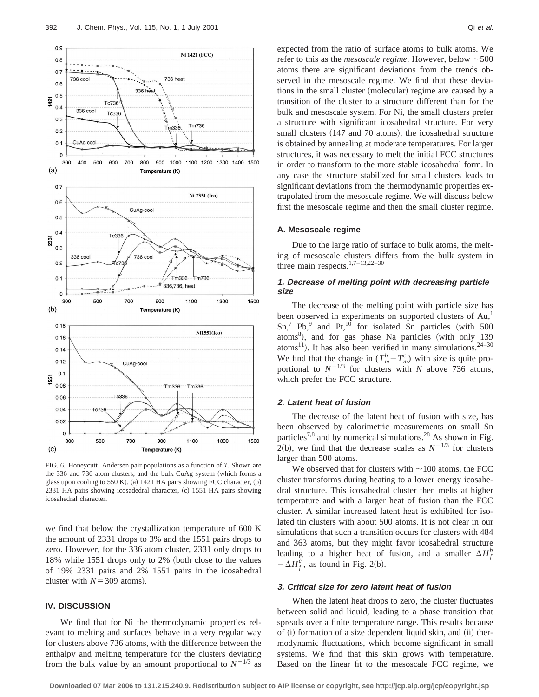

FIG. 6. Honeycutt–Andersen pair populations as a function of *T*. Shown are the 336 and 736 atom clusters, and the bulk CuAg system (which forms a glass upon cooling to 550 K). (a)  $1421$  HA pairs showing FCC character, (b) 2331 HA pairs showing icosadedral character, (c) 1551 HA pairs showing icosahedral character.

we find that below the crystallization temperature of 600 K the amount of 2331 drops to 3% and the 1551 pairs drops to zero. However, for the 336 atom cluster, 2331 only drops to 18% while 1551 drops only to 2% (both close to the values of 19% 2331 pairs and 2% 1551 pairs in the icosahedral cluster with  $N=309$  atoms).

### **IV. DISCUSSION**

We find that for Ni the thermodynamic properties relevant to melting and surfaces behave in a very regular way for clusters above 736 atoms, with the difference between the enthalpy and melting temperature for the clusters deviating from the bulk value by an amount proportional to  $N^{-1/3}$  as expected from the ratio of surface atoms to bulk atoms. We refer to this as the *mesoscale regime*. However, below  $\sim$ 500 atoms there are significant deviations from the trends observed in the mesoscale regime. We find that these deviations in the small cluster (molecular) regime are caused by a transition of the cluster to a structure different than for the bulk and mesoscale system. For Ni, the small clusters prefer a structure with significant icosahedral structure. For very small clusters (147 and 70 atoms), the icosahedral structure is obtained by annealing at moderate temperatures. For larger structures, it was necessary to melt the initial FCC structures in order to transform to the more stable icosahedral form. In any case the structure stabilized for small clusters leads to significant deviations from the thermodynamic properties extrapolated from the mesoscale regime. We will discuss below

#### **A. Mesoscale regime**

Due to the large ratio of surface to bulk atoms, the melting of mesoscale clusters differs from the bulk system in three main respects.<sup>1,7–13,22–30</sup>

first the mesoscale regime and then the small cluster regime.

# **1. Decrease of melting point with decreasing particle size**

The decrease of the melting point with particle size has been observed in experiments on supported clusters of Au,<sup>1</sup>  $\text{Sn}^7$  Pb,<sup>9</sup> and Pt,<sup>10</sup> for isolated Sn particles (with 500 atoms<sup>8</sup>), and for gas phase Na particles (with only 139 atoms<sup>11</sup>). It has also been verified in many simulations.<sup>24–30</sup> We find that the change in  $(T_m^b - T_m^c)$  with size is quite proportional to  $N^{-1/3}$  for clusters with *N* above 736 atoms, which prefer the FCC structure.

# **2. Latent heat of fusion**

The decrease of the latent heat of fusion with size, has been observed by calorimetric measurements on small Sn particles<sup>7,8</sup> and by numerical simulations.<sup>28</sup> As shown in Fig.  $2(b)$ , we find that the decrease scales as  $N^{-1/3}$  for clusters larger than 500 atoms.

We observed that for clusters with  $\sim$ 100 atoms, the FCC cluster transforms during heating to a lower energy icosahedral structure. This icosahedral cluster then melts at higher temperature and with a larger heat of fusion than the FCC cluster. A similar increased latent heat is exhibited for isolated tin clusters with about 500 atoms. It is not clear in our simulations that such a transition occurs for clusters with 484 and 363 atoms, but they might favor icosahedral structure leading to a higher heat of fusion, and a smaller  $\Delta H_f^b$  $-\Delta H_f^c$ , as found in Fig. 2(b).

#### **3. Critical size for zero latent heat of fusion**

When the latent heat drops to zero, the cluster fluctuates between solid and liquid, leading to a phase transition that spreads over a finite temperature range. This results because of (i) formation of a size dependent liquid skin, and (ii) thermodynamic fluctuations, which become significant in small systems. We find that this skin grows with temperature. Based on the linear fit to the mesoscale FCC regime, we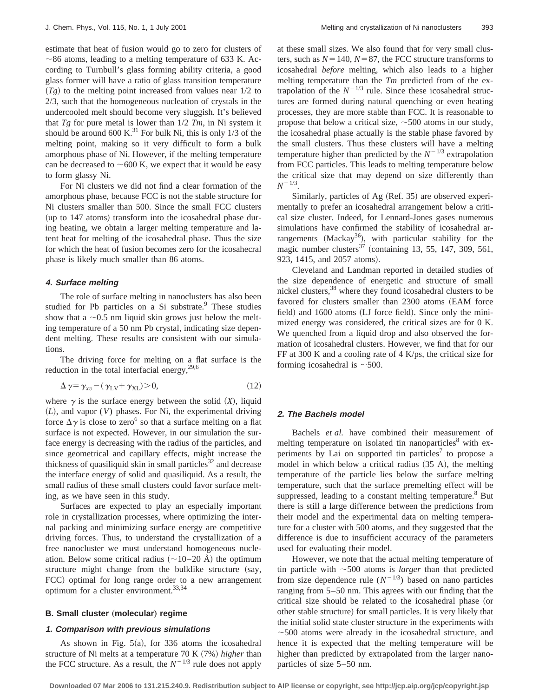estimate that heat of fusion would go to zero for clusters of  $\sim$ 86 atoms, leading to a melting temperature of 633 K. According to Turnbull's glass forming ability criteria, a good glass former will have a ratio of glass transition temperature  $(Tg)$  to the melting point increased from values near  $1/2$  to 2/3, such that the homogeneous nucleation of crystals in the undercooled melt should become very sluggish. It's believed that  $Tg$  for pure metal is lower than  $1/2$   $Tm$ , in Ni system it should be around 600 K.<sup>31</sup> For bulk Ni, this is only  $1/3$  of the melting point, making so it very difficult to form a bulk amorphous phase of Ni. However, if the melting temperature can be decreased to  $\sim$  600 K, we expect that it would be easy to form glassy Ni.

For Ni clusters we did not find a clear formation of the amorphous phase, because FCC is not the stable structure for Ni clusters smaller than 500. Since the small FCC clusters  $~$ (up to 147 atoms) transform into the icosahedral phase during heating, we obtain a larger melting temperature and latent heat for melting of the icosahedral phase. Thus the size for which the heat of fusion becomes zero for the icosahecral phase is likely much smaller than 86 atoms.

#### **4. Surface melting**

The role of surface melting in nanoclusters has also been studied for Pb particles on a Si substrate.<sup>9</sup> These studies show that a  $\sim$ 0.5 nm liquid skin grows just below the melting temperature of a 50 nm Pb crystal, indicating size dependent melting. These results are consistent with our simulations.

The driving force for melting on a flat surface is the reduction in the total interfacial energy,  $29,6$ 

$$
\Delta \gamma = \gamma_{\text{xv}} - (\gamma_{\text{LV}} + \gamma_{\text{XL}}) > 0, \tag{12}
$$

where  $\gamma$  is the surface energy between the solid  $(X)$ , liquid ~*L*!, and vapor (*V*) phases. For Ni, the experimental driving force  $\Delta \gamma$  is close to zero<sup>6</sup> so that a surface melting on a flat surface is not expected. However, in our simulation the surface energy is decreasing with the radius of the particles, and since geometrical and capillary effects, might increase the thickness of quasiliquid skin in small particles $32$  and decrease the interface energy of solid and quasiliquid. As a result, the small radius of these small clusters could favor surface melting, as we have seen in this study.

Surfaces are expected to play an especially important role in crystallization processes, where optimizing the internal packing and minimizing surface energy are competitive driving forces. Thus, to understand the crystallization of a free nanocluster we must understand homogeneous nucleation. Below some critical radius  $(\sim 10-20 \text{ Å})$  the optimum structure might change from the bulklike structure (say, FCC) optimal for long range order to a new arrangement optimum for a cluster environment.33,34

# **B. Small cluster (molecular) regime**

# **1. Comparison with previous simulations**

As shown in Fig.  $5(a)$ , for 336 atoms the icosahedral structure of Ni melts at a temperature 70 K (7%) *higher* than the FCC structure. As a result, the  $N^{-1/3}$  rule does not apply at these small sizes. We also found that for very small clusters, such as  $N=140$ ,  $N=87$ , the FCC structure transforms to icosahedral *before* melting, which also leads to a higher melting temperature than the *Tm* predicted from of the extrapolation of the  $N^{-1/3}$  rule. Since these icosahedral structures are formed during natural quenching or even heating processes, they are more stable than FCC. It is reasonable to propose that below a critical size,  $\sim$  500 atoms in our study, the icosahedral phase actually is the stable phase favored by the small clusters. Thus these clusters will have a melting temperature higher than predicted by the  $N^{-1/3}$  extrapolation from FCC particles. This leads to melting temperature below the critical size that may depend on size differently than  $N^{-1/3}$ .

Similarly, particles of Ag (Ref. 35) are observed experimentally to prefer an icosahedral arrangement below a critical size cluster. Indeed, for Lennard-Jones gases numerous simulations have confirmed the stability of icosahedral arrangements (Mackay<sup>36</sup>), with particular stability for the magic number clusters<sup>37</sup> (containing 13, 55, 147, 309, 561, 923, 1415, and 2057 atoms).

Cleveland and Landman reported in detailed studies of the size dependence of energetic and structure of small nickel clusters,<sup>38</sup> where they found icosahedral clusters to be favored for clusters smaller than 2300 atoms (EAM force field) and 1600 atoms (LJ force field). Since only the minimized energy was considered, the critical sizes are for 0 K. We quenched from a liquid drop and also observed the formation of icosahedral clusters. However, we find that for our FF at 300 K and a cooling rate of 4 K/ps, the critical size for forming icosahedral is  $\sim$ 500.

# **2. The Bachels model**

Bachels *et al.* have combined their measurement of melting temperature on isolated tin nanoparticles<sup>8</sup> with experiments by Lai on supported tin particles<sup>7</sup> to propose a model in which below a critical radius  $(35 \text{ A})$ , the melting temperature of the particle lies below the surface melting temperature, such that the surface premelting effect will be suppressed, leading to a constant melting temperature. $8$  But there is still a large difference between the predictions from their model and the experimental data on melting temperature for a cluster with 500 atoms, and they suggested that the difference is due to insufficient accuracy of the parameters used for evaluating their model.

However, we note that the actual melting temperature of tin particle with  $\sim$  500 atoms is *larger* than that predicted from size dependence rule  $(N^{-1/3})$  based on nano particles ranging from 5–50 nm. This agrees with our finding that the critical size should be related to the icosahedral phase (or other stable structure) for small particles. It is very likely that the initial solid state cluster structure in the experiments with  $\sim$  500 atoms were already in the icosahedral structure, and hence it is expected that the melting temperature will be higher than predicted by extrapolated from the larger nanoparticles of size 5–50 nm.